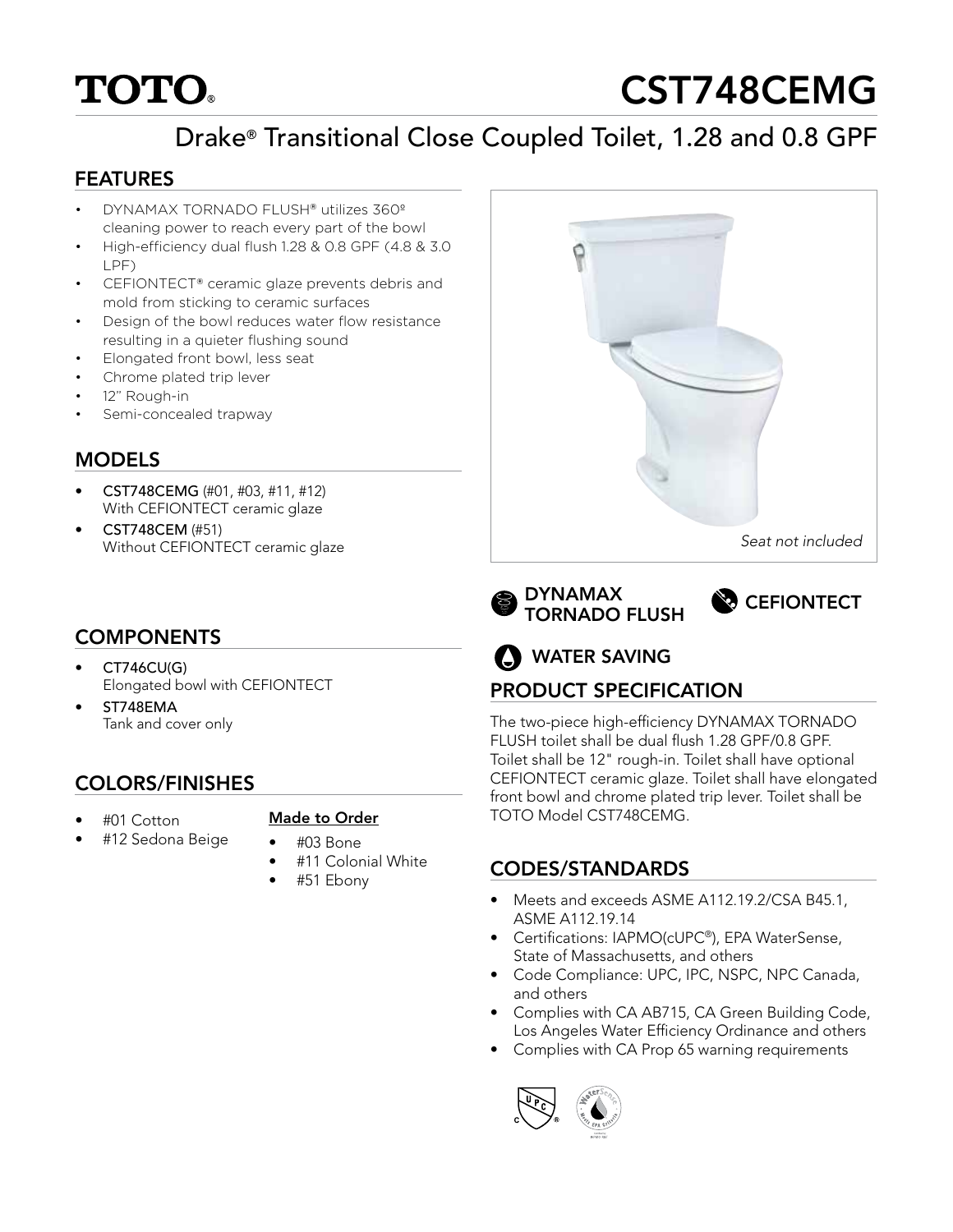# **TOTO**

# CST748CEMG

# Drake® Transitional Close Coupled Toilet, 1.28 and 0.8 GPF

### FEATURES

- DYNAMAX TORNADO FLUSH® utilizes 360º cleaning power to reach every part of the bowl
- High-efficiency dual flush 1.28 & 0.8 GPF (4.8 & 3.0 LPF)
- CEFIONTECT® ceramic glaze prevents debris and mold from sticking to ceramic surfaces
- Design of the bowl reduces water flow resistance resulting in a quieter flushing sound
- Elongated front bowl, less seat
- Chrome plated trip lever
- 12" Rough-in
- Semi-concealed trapway

## MODELS

- CST748CEMG (#01, #03, #11, #12) With CEFIONTECT ceramic glaze
- CST748CEM (#51) Without CEFIONTECT ceramic glaze

# **COMPONENTS**

- CT746CU(G) Elongated bowl with CEFIONTECT
- ST748EMA Tank and cover only

## COLORS/FINISHES

• #01 Cotton

#### Made to Order

- #12 Sedona Beige
	- #03 Bone • #11 Colonial White
	- #51 Ebony



TORNADO FLUSH



# **O** WATER SAVING

# PRODUCT SPECIFICATION

The two-piece high-efficiency DYNAMAX TORNADO FLUSH toilet shall be dual flush 1.28 GPF/0.8 GPF. Toilet shall be 12" rough-in. Toilet shall have optional CEFIONTECT ceramic glaze. Toilet shall have elongated front bowl and chrome plated trip lever. Toilet shall be TOTO Model CST748CEMG.

## CODES/STANDARDS

- Meets and exceeds ASME A112.19.2/CSA B45.1, ASME A112.19.14
- Certifications: IAPMO(cUPC®), EPA WaterSense, State of Massachusetts, and others
- Code Compliance: UPC, IPC, NSPC, NPC Canada, and others
- Complies with CA AB715, CA Green Building Code, Los Angeles Water Efficiency Ordinance and others
- Complies with CA Prop 65 warning requirements